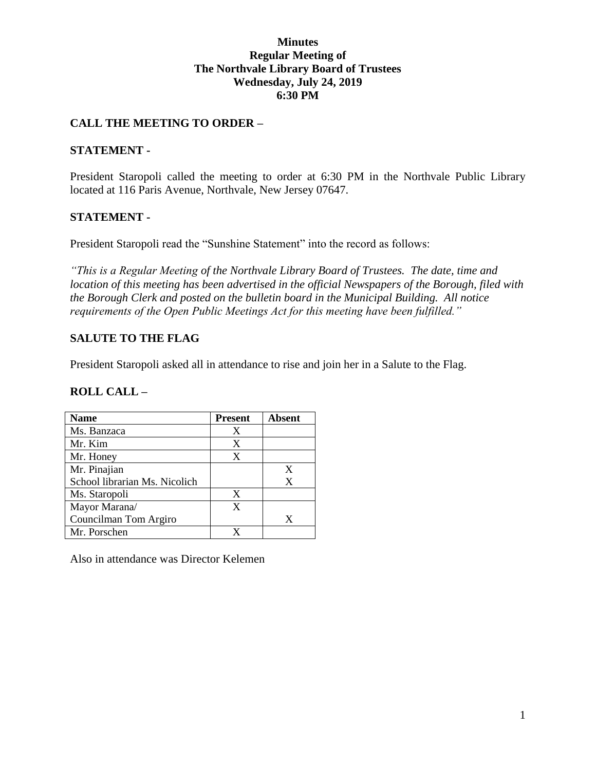### **Minutes Regular Meeting of The Northvale Library Board of Trustees Wednesday, July 24, 2019 6:30 PM**

### **CALL THE MEETING TO ORDER –**

#### **STATEMENT -**

President Staropoli called the meeting to order at 6:30 PM in the Northvale Public Library located at 116 Paris Avenue, Northvale, New Jersey 07647.

### **STATEMENT -**

President Staropoli read the "Sunshine Statement" into the record as follows:

*"This is a Regular Meeting of the Northvale Library Board of Trustees. The date, time and location of this meeting has been advertised in the official Newspapers of the Borough, filed with the Borough Clerk and posted on the bulletin board in the Municipal Building. All notice requirements of the Open Public Meetings Act for this meeting have been fulfilled."* 

### **SALUTE TO THE FLAG**

President Staropoli asked all in attendance to rise and join her in a Salute to the Flag.

#### **ROLL CALL –**

| <b>Name</b>                   | <b>Present</b> | Absent |
|-------------------------------|----------------|--------|
| Ms. Banzaca                   | X              |        |
| Mr. Kim                       | X              |        |
| Mr. Honey                     | X              |        |
| Mr. Pinajian                  |                | X      |
| School librarian Ms. Nicolich |                | X      |
| Ms. Staropoli                 | X              |        |
| Mayor Marana/                 | $\mathbf x$    |        |
| Councilman Tom Argiro         |                | X      |
| Mr. Porschen                  |                |        |

Also in attendance was Director Kelemen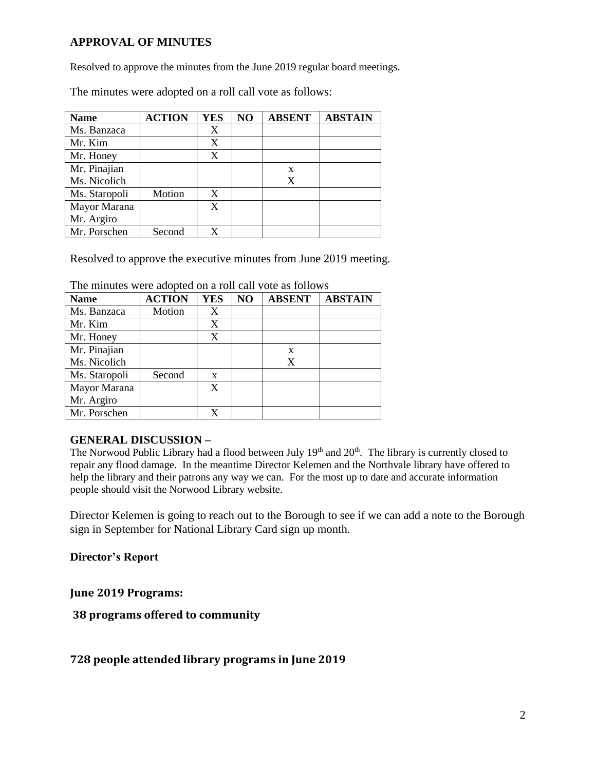### **APPROVAL OF MINUTES**

Resolved to approve the minutes from the June 2019 regular board meetings.

The minutes were adopted on a roll call vote as follows:

| <b>Name</b>   | <b>ACTION</b> | <b>YES</b> | NO | <b>ABSENT</b> | <b>ABSTAIN</b> |
|---------------|---------------|------------|----|---------------|----------------|
| Ms. Banzaca   |               | X          |    |               |                |
| Mr. Kim       |               | X          |    |               |                |
| Mr. Honey     |               | X          |    |               |                |
| Mr. Pinajian  |               |            |    | X             |                |
| Ms. Nicolich  |               |            |    | X             |                |
| Ms. Staropoli | Motion        | X          |    |               |                |
| Mayor Marana  |               | X          |    |               |                |
| Mr. Argiro    |               |            |    |               |                |
| Mr. Porschen  | Second        | X          |    |               |                |

Resolved to approve the executive minutes from June 2019 meeting.

| <b>Name</b>   | <b>ACTION</b> | <b>YES</b>   | NO | <b>ABSENT</b> | <b>ABSTAIN</b> |
|---------------|---------------|--------------|----|---------------|----------------|
| Ms. Banzaca   | Motion        | X            |    |               |                |
| Mr. Kim       |               | X            |    |               |                |
| Mr. Honey     |               | X            |    |               |                |
| Mr. Pinajian  |               |              |    | X             |                |
| Ms. Nicolich  |               |              |    | X             |                |
| Ms. Staropoli | Second        | $\mathbf{x}$ |    |               |                |
| Mayor Marana  |               | X            |    |               |                |
| Mr. Argiro    |               |              |    |               |                |
| Mr. Porschen  |               |              |    |               |                |

The minutes were adopted on a roll call vote as follows

#### **GENERAL DISCUSSION –**

The Norwood Public Library had a flood between July 19<sup>th</sup> and 20<sup>th</sup>. The library is currently closed to repair any flood damage. In the meantime Director Kelemen and the Northvale library have offered to help the library and their patrons any way we can. For the most up to date and accurate information people should visit the Norwood Library website.

Director Kelemen is going to reach out to the Borough to see if we can add a note to the Borough sign in September for National Library Card sign up month.

**Director's Report**

**June 2019 Programs:**

**38 programs offered to community**

**728 people attended library programs in June 2019**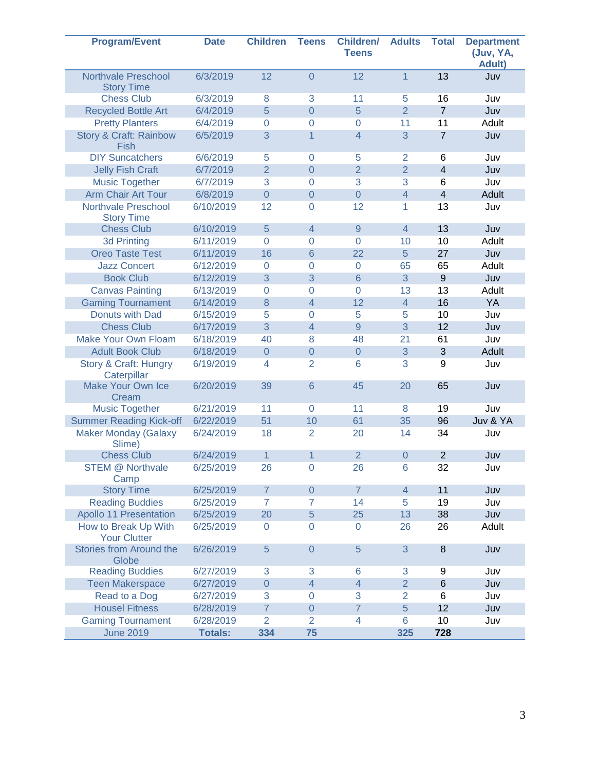| <b>Program/Event</b>                             | <b>Date</b>    | <b>Children</b>  | <b>Teens</b>   | <b>Children/</b><br><b>Teens</b> | <b>Adults</b>  | <b>Total</b>   | <b>Department</b><br>(Juv, YA,<br><b>Adult)</b> |
|--------------------------------------------------|----------------|------------------|----------------|----------------------------------|----------------|----------------|-------------------------------------------------|
| <b>Northvale Preschool</b><br><b>Story Time</b>  | 6/3/2019       | 12               | $\overline{0}$ | 12                               | $\overline{1}$ | 13             | Juv                                             |
| <b>Chess Club</b>                                | 6/3/2019       | 8                | 3              | 11                               | 5              | 16             | Juv                                             |
| <b>Recycled Bottle Art</b>                       | 6/4/2019       | 5                | $\overline{0}$ | 5                                | $\overline{2}$ | $\overline{7}$ | Juv                                             |
| <b>Pretty Planters</b>                           | 6/4/2019       | $\overline{0}$   | 0              | $\overline{0}$                   | 11             | 11             | Adult                                           |
| <b>Story &amp; Craft: Rainbow</b><br><b>Fish</b> | 6/5/2019       | 3                | 1              | 4                                | 3              | $\overline{7}$ | Juv                                             |
| <b>DIY Suncatchers</b>                           | 6/6/2019       | 5                | $\overline{0}$ | 5                                | $\overline{2}$ | 6              | Juv                                             |
| <b>Jelly Fish Craft</b>                          | 6/7/2019       | $\overline{2}$   | $\overline{0}$ | $\overline{2}$                   | $\overline{2}$ | $\overline{4}$ | Juv                                             |
| <b>Music Together</b>                            | 6/7/2019       | 3                | $\overline{0}$ | 3                                | 3              | 6              | Juv                                             |
| <b>Arm Chair Art Tour</b>                        | 6/8/2019       | $\boldsymbol{0}$ | $\mathbf 0$    | $\overline{0}$                   | $\overline{4}$ | $\overline{4}$ | Adult                                           |
| <b>Northvale Preschool</b><br><b>Story Time</b>  | 6/10/2019      | 12               | $\mathbf 0$    | 12                               | 1              | 13             | Juv                                             |
| <b>Chess Club</b>                                | 6/10/2019      | 5                | $\overline{4}$ | 9                                | $\overline{4}$ | 13             | Juv                                             |
| <b>3d Printing</b>                               | 6/11/2019      | $\overline{0}$   | $\overline{0}$ | $\overline{0}$                   | 10             | 10             | Adult                                           |
| <b>Oreo Taste Test</b>                           | 6/11/2019      | 16               | $6\phantom{1}$ | 22                               | 5              | 27             | Juv                                             |
| <b>Jazz Concert</b>                              | 6/12/2019      | $\overline{0}$   | $\mathbf 0$    | $\overline{0}$                   | 65             | 65             | Adult                                           |
| <b>Book Club</b>                                 | 6/12/2019      | 3                | 3              | $6\phantom{1}$                   | 3              | $\mathsf g$    | Juv                                             |
| <b>Canvas Painting</b>                           | 6/13/2019      | $\Omega$         | $\overline{0}$ | $\overline{0}$                   | 13             | 13             | Adult                                           |
| <b>Gaming Tournament</b>                         | 6/14/2019      | 8                | $\overline{4}$ | 12                               | $\overline{4}$ | 16             | YA                                              |
| Donuts with Dad                                  | 6/15/2019      | 5                | 0              | 5                                | 5              | 10             | Juv                                             |
| <b>Chess Club</b>                                | 6/17/2019      | 3                | $\overline{4}$ | 9                                | 3              | 12             | Juv                                             |
| <b>Make Your Own Floam</b>                       | 6/18/2019      | 40               | 8              | 48                               | 21             | 61             | Juv                                             |
| <b>Adult Book Club</b>                           | 6/18/2019      | $\overline{0}$   | $\mathbf 0$    | $\overline{0}$                   | 3              | 3              | Adult                                           |
| <b>Story &amp; Craft: Hungry</b><br>Caterpillar  | 6/19/2019      | $\overline{4}$   | $\overline{2}$ | 6                                | 3              | 9              | Juv                                             |
| Make Your Own Ice<br>Cream                       | 6/20/2019      | 39               | $6\phantom{1}$ | 45                               | 20             | 65             | Juv                                             |
| <b>Music Together</b>                            | 6/21/2019      | 11               | $\overline{0}$ | 11                               | 8              | 19             | Juv                                             |
| <b>Summer Reading Kick-off</b>                   | 6/22/2019      | 51               | 10             | 61                               | 35             | 96             | Juv & YA                                        |
| <b>Maker Monday (Galaxy</b><br>Slime)            | 6/24/2019      | 18               | $\overline{2}$ | 20                               | 14             | 34             | Juv                                             |
| <b>Chess Club</b>                                | 6/24/2019      | $\mathbf{1}$     | $\mathbf{1}$   | $\overline{2}$                   | $\overline{0}$ | $\overline{2}$ | Juv                                             |
| <b>STEM @ Northvale</b><br>Camp                  | 6/25/2019      | 26               | 0              | 26                               | 6              | 32             | Juv                                             |
| <b>Story Time</b>                                | 6/25/2019      | $\overline{7}$   | $\mathbf 0$    | $\overline{7}$                   | $\overline{4}$ | 11             | Juv                                             |
| <b>Reading Buddies</b>                           | 6/25/2019      | $\overline{7}$   | $\overline{7}$ | 14                               | 5              | 19             | Juv                                             |
| <b>Apollo 11 Presentation</b>                    | 6/25/2019      | 20               | $\overline{5}$ | 25                               | 13             | 38             | Juv                                             |
| How to Break Up With<br><b>Your Clutter</b>      | 6/25/2019      | $\mathbf 0$      | $\mathbf 0$    | 0                                | 26             | 26             | Adult                                           |
| Stories from Around the<br>Globe                 | 6/26/2019      | 5                | $\mathbf 0$    | 5                                | 3              | 8              | Juv                                             |
| <b>Reading Buddies</b>                           | 6/27/2019      | 3                | 3              | 6                                | 3              | 9              | Juv                                             |
| <b>Teen Makerspace</b>                           | 6/27/2019      | $\overline{0}$   | $\overline{4}$ | $\overline{4}$                   | $\overline{2}$ | $6\phantom{1}$ | Juv                                             |
| Read to a Dog                                    | 6/27/2019      | 3                | $\mathbf 0$    | 3                                | $\overline{2}$ | 6              | Juv                                             |
| <b>Housel Fitness</b>                            | 6/28/2019      | $\overline{7}$   | $\mathbf 0$    | $\overline{7}$                   | 5              | 12             | Juv                                             |
| <b>Gaming Tournament</b>                         | 6/28/2019      | $\overline{2}$   | $\overline{2}$ | 4                                | $6\phantom{1}$ | 10             | Juv                                             |
| <b>June 2019</b>                                 | <b>Totals:</b> | 334              | 75             |                                  | 325            | 728            |                                                 |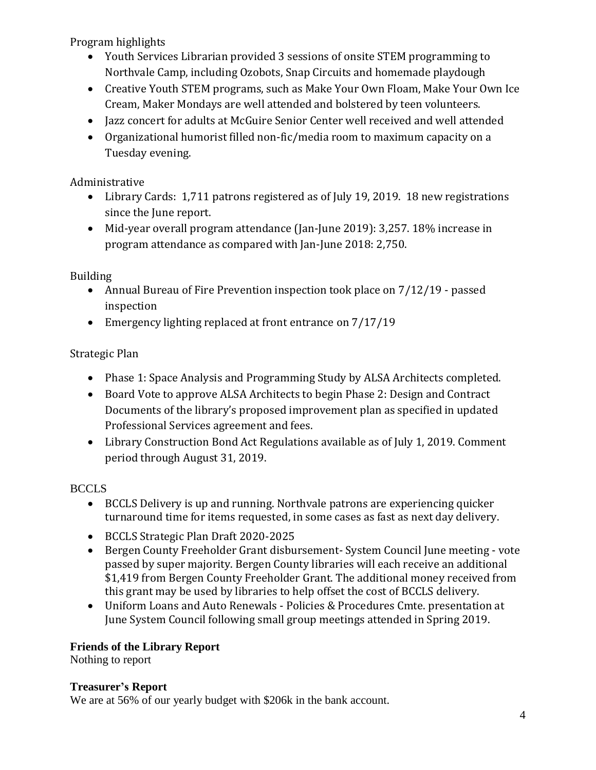Program highlights

- Youth Services Librarian provided 3 sessions of onsite STEM programming to Northvale Camp, including Ozobots, Snap Circuits and homemade playdough
- Creative Youth STEM programs, such as Make Your Own Floam, Make Your Own Ice Cream, Maker Mondays are well attended and bolstered by teen volunteers.
- Jazz concert for adults at McGuire Senior Center well received and well attended
- Organizational humorist filled non-fic/media room to maximum capacity on a Tuesday evening.

Administrative

- Library Cards: 1,711 patrons registered as of July 19, 2019. 18 new registrations since the June report.
- Mid-year overall program attendance (Jan-June 2019): 3,257. 18% increase in program attendance as compared with Jan-June 2018: 2,750.

Building

- Annual Bureau of Fire Prevention inspection took place on 7/12/19 passed inspection
- Emergency lighting replaced at front entrance on  $7/17/19$

# Strategic Plan

- Phase 1: Space Analysis and Programming Study by ALSA Architects completed.
- Board Vote to approve ALSA Architects to begin Phase 2: Design and Contract Documents of the library's proposed improvement plan as specified in updated Professional Services agreement and fees.
- Library Construction Bond Act Regulations available as of July 1, 2019. Comment period through August 31, 2019.

# **BCCLS**

- BCCLS Delivery is up and running. Northvale patrons are experiencing quicker turnaround time for items requested, in some cases as fast as next day delivery.
- BCCLS Strategic Plan Draft 2020-2025
- Bergen County Freeholder Grant disbursement- System Council June meeting vote passed by super majority. Bergen County libraries will each receive an additional \$1,419 from Bergen County Freeholder Grant. The additional money received from this grant may be used by libraries to help offset the cost of BCCLS delivery.
- Uniform Loans and Auto Renewals Policies & Procedures Cmte. presentation at June System Council following small group meetings attended in Spring 2019.

# **Friends of the Library Report**

Nothing to report

## **Treasurer's Report**

We are at 56% of our yearly budget with \$206k in the bank account.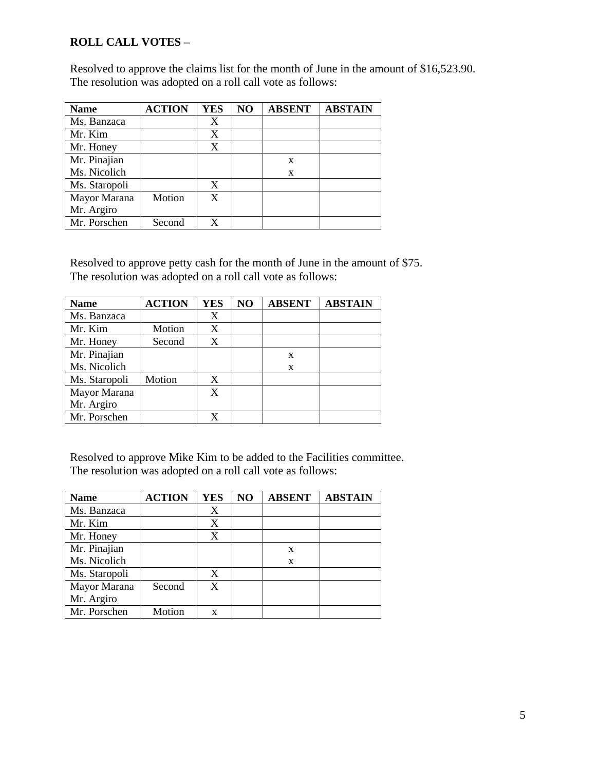## **ROLL CALL VOTES –**

Resolved to approve the claims list for the month of June in the amount of \$16,523.90. The resolution was adopted on a roll call vote as follows:

| <b>Name</b>   | <b>ACTION</b> | <b>YES</b> | NO | <b>ABSENT</b> | <b>ABSTAIN</b> |
|---------------|---------------|------------|----|---------------|----------------|
| Ms. Banzaca   |               | Χ          |    |               |                |
| Mr. Kim       |               | X          |    |               |                |
| Mr. Honey     |               | X          |    |               |                |
| Mr. Pinajian  |               |            |    | X             |                |
| Ms. Nicolich  |               |            |    | X             |                |
| Ms. Staropoli |               | X          |    |               |                |
| Mayor Marana  | Motion        | X          |    |               |                |
| Mr. Argiro    |               |            |    |               |                |
| Mr. Porschen  | Second        | X          |    |               |                |

Resolved to approve petty cash for the month of June in the amount of \$75. The resolution was adopted on a roll call vote as follows:

| <b>Name</b>   | <b>ACTION</b> | <b>YES</b> | NO | <b>ABSENT</b> | <b>ABSTAIN</b> |
|---------------|---------------|------------|----|---------------|----------------|
| Ms. Banzaca   |               | X          |    |               |                |
| Mr. Kim       | Motion        | X          |    |               |                |
| Mr. Honey     | Second        | X          |    |               |                |
| Mr. Pinajian  |               |            |    | X             |                |
| Ms. Nicolich  |               |            |    | X             |                |
| Ms. Staropoli | Motion        | X          |    |               |                |
| Mayor Marana  |               | X          |    |               |                |
| Mr. Argiro    |               |            |    |               |                |
| Mr. Porschen  |               | X          |    |               |                |

Resolved to approve Mike Kim to be added to the Facilities committee. The resolution was adopted on a roll call vote as follows:

| <b>Name</b>   | <b>ACTION</b> | <b>YES</b> | NO | <b>ABSENT</b> | <b>ABSTAIN</b> |
|---------------|---------------|------------|----|---------------|----------------|
| Ms. Banzaca   |               | X          |    |               |                |
| Mr. Kim       |               | X          |    |               |                |
| Mr. Honey     |               | X          |    |               |                |
| Mr. Pinajian  |               |            |    | X             |                |
| Ms. Nicolich  |               |            |    | X             |                |
| Ms. Staropoli |               | X          |    |               |                |
| Mayor Marana  | Second        | X          |    |               |                |
| Mr. Argiro    |               |            |    |               |                |
| Mr. Porschen  | Motion        | X          |    |               |                |